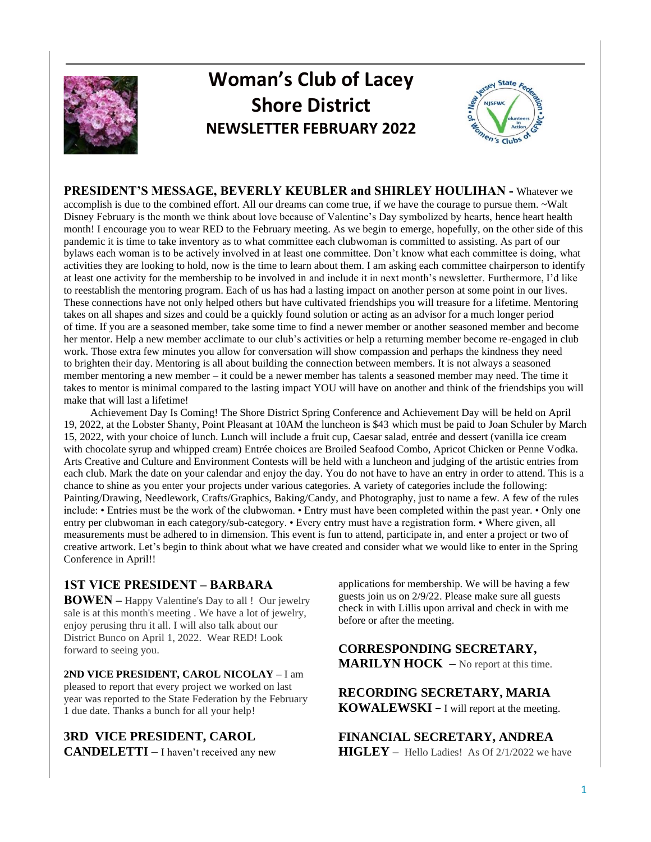

# **Woman's Club of Lacey Shore District NEWSLETTER FEBRUARY 2022**



**PRESIDENT'S MESSAGE, BEVERLY KEUBLER and SHIRLEY HOULIHAN -** Whatever we accomplish is due to the combined effort. All our dreams can come true, if we have the courage to pursue them. ~Walt Disney February is the month we think about love because of Valentine's Day symbolized by hearts, hence heart health month! I encourage you to wear RED to the February meeting. As we begin to emerge, hopefully, on the other side of this pandemic it is time to take inventory as to what committee each clubwoman is committed to assisting. As part of our bylaws each woman is to be actively involved in at least one committee. Don't know what each committee is doing, what activities they are looking to hold, now is the time to learn about them. I am asking each committee chairperson to identify at least one activity for the membership to be involved in and include it in next month's newsletter. Furthermore, I'd like to reestablish the mentoring program. Each of us has had a lasting impact on another person at some point in our lives. These connections have not only helped others but have cultivated friendships you will treasure for a lifetime. Mentoring takes on all shapes and sizes and could be a quickly found solution or acting as an advisor for a much longer period of time. If you are a seasoned member, take some time to find a newer member or another seasoned member and become her mentor. Help a new member acclimate to our club's activities or help a returning member become re-engaged in club work. Those extra few minutes you allow for conversation will show compassion and perhaps the kindness they need to brighten their day. Mentoring is all about building the connection between members. It is not always a seasoned member mentoring a new member – it could be a newer member has talents a seasoned member may need. The time it takes to mentor is minimal compared to the lasting impact YOU will have on another and think of the friendships you will make that will last a lifetime!

 Achievement Day Is Coming! The Shore District Spring Conference and Achievement Day will be held on April 19, 2022, at the Lobster Shanty, Point Pleasant at 10AM the luncheon is \$43 which must be paid to Joan Schuler by March 15, 2022, with your choice of lunch. Lunch will include a fruit cup, Caesar salad, entrée and dessert (vanilla ice cream with chocolate syrup and whipped cream) Entrée choices are Broiled Seafood Combo, Apricot Chicken or Penne Vodka. Arts Creative and Culture and Environment Contests will be held with a luncheon and judging of the artistic entries from each club. Mark the date on your calendar and enjoy the day. You do not have to have an entry in order to attend. This is a chance to shine as you enter your projects under various categories. A variety of categories include the following: Painting/Drawing, Needlework, Crafts/Graphics, Baking/Candy, and Photography, just to name a few. A few of the rules include: • Entries must be the work of the clubwoman. • Entry must have been completed within the past year. • Only one entry per clubwoman in each category/sub-category. • Every entry must have a registration form. • Where given, all measurements must be adhered to in dimension. This event is fun to attend, participate in, and enter a project or two of creative artwork. Let's begin to think about what we have created and consider what we would like to enter in the Spring Conference in April!!

## **1ST VICE PRESIDENT – BARBARA**

**BOWEN –** Happy Valentine's Day to all ! Our jewelry sale is at this month's meeting . We have a lot of jewelry, enjoy perusing thru it all. I will also talk about our District Bunco on April 1, 2022. Wear RED! Look forward to seeing you.

**2ND VICE PRESIDENT, CAROL NICOLAY –** I am pleased to report that every project we worked on last year was reported to the State Federation by the February 1 due date. Thanks a bunch for all your help!

**3RD VICE PRESIDENT, CAROL CANDELETTI** – I haven't received any new applications for membership. We will be having a few guests join us on 2/9/22. Please make sure all guests check in with Lillis upon arrival and check in with me before or after the meeting.

**CORRESPONDING SECRETARY, MARILYN HOCK** – No report at this time.

**RECORDING SECRETARY, MARIA KOWALEWSKI –** I will report at the meeting.

**FINANCIAL SECRETARY, ANDREA HIGLEY** – Hello Ladies! As Of 2/1/2022 we have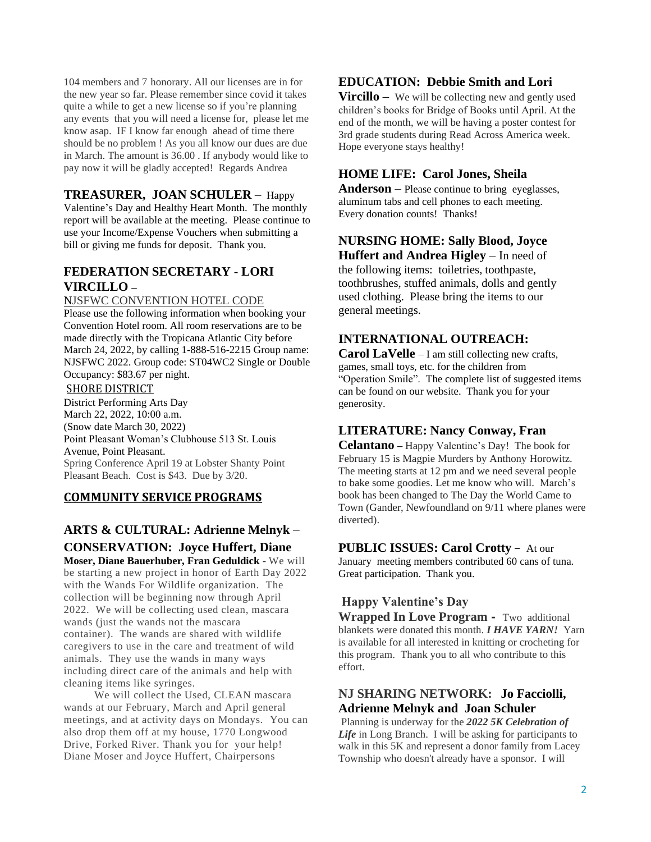104 members and 7 honorary. All our licenses are in for the new year so far. Please remember since covid it takes quite a while to get a new license so if you're planning any events that you will need a license for, please let me know asap. IF I know far enough ahead of time there should be no problem ! As you all know our dues are due in March. The amount is 36.00 . If anybody would like to pay now it will be gladly accepted! Regards Andrea

## **TREASURER, JOAN SCHULER** – Happy

Valentine's Day and Healthy Heart Month. The monthly report will be available at the meeting. Please continue to use your Income/Expense Vouchers when submitting a bill or giving me funds for deposit. Thank you.

## **FEDERATION SECRETARY** - **LORI VIRCILLO –**

#### NJSFWC CONVENTION HOTEL CODE

Please use the following information when booking your Convention Hotel room. All room reservations are to be made directly with the Tropicana Atlantic City before March 24, 2022, by calling 1-888-516-2215 Group name: NJSFWC 2022. Group code: ST04WC2 Single or Double Occupancy: \$83.67 per night.

#### SHORE DISTRICT

District Performing Arts Day March 22, 2022, 10:00 a.m. (Snow date March 30, 2022) Point Pleasant Woman's Clubhouse 513 St. Louis Avenue, Point Pleasant. Spring Conference April 19 at Lobster Shanty Point Pleasant Beach. Cost is \$43. Due by 3/20.

#### **COMMUNITY SERVICE PROGRAMS**

# **ARTS & CULTURAL: Adrienne Melnyk** – **CONSERVATION: Joyce Huffert, Diane**

**Moser, Diane Bauerhuber, Fran Geduldick** - We will be starting a new project in honor of Earth Day 2022 with the Wands For Wildlife organization. The collection will be beginning now through April 2022. We will be collecting used clean, mascara wands (just the wands not the mascara container). The wands are shared with wildlife caregivers to use in the care and treatment of wild animals. They use the wands in many ways including direct care of the animals and help with cleaning items like syringes.

 We will collect the Used, CLEAN mascara wands at our February, March and April general meetings, and at activity days on Mondays. You can also drop them off at my house, 1770 Longwood Drive, Forked River. Thank you for your help! Diane Moser and Joyce Huffert, Chairpersons

## **EDUCATION: Debbie Smith and Lori**

**Vircillo** – We will be collecting new and gently used children's books for Bridge of Books until April. At the end of the month, we will be having a poster contest for 3rd grade students during Read Across America week. Hope everyone stays healthy!

#### **HOME LIFE: Carol Jones, Sheila**

**Anderson** – Please continue to bring eyeglasses, aluminum tabs and cell phones to each meeting. Every donation counts! Thanks!

## **NURSING HOME: Sally Blood, Joyce**

**Huffert and Andrea Higley** – In need of the following items: toiletries, toothpaste, toothbrushes, stuffed animals, dolls and gently used clothing. Please bring the items to our general meetings.

#### **INTERNATIONAL OUTREACH:**

**Carol LaVelle** – I am still collecting new crafts, games, small toys, etc. for the children from "Operation Smile". The complete list of suggested items can be found on our website. Thank you for your generosity.

#### **LITERATURE: Nancy Conway, Fran**

**Celantano –** Happy Valentine's Day! The book for February 15 is Magpie Murders by Anthony Horowitz. The meeting starts at 12 pm and we need several people to bake some goodies. Let me know who will. March's book has been changed to The Day the World Came to Town (Gander, Newfoundland on 9/11 where planes were diverted).

#### **PUBLIC ISSUES: Carol Crotty** – At our

January meeting members contributed 60 cans of tuna. Great participation. Thank you.

## **Happy Valentine's Day**

**Wrapped In Love Program -** Two additional blankets were donated this month. *I HAVE YARN!* Yarn is available for all interested in knitting or crocheting for this program. Thank you to all who contribute to this effort.

## **NJ SHARING NETWORK: Jo Facciolli, Adrienne Melnyk and Joan Schuler**

Planning is underway for the *2022 5K Celebration of Life* in Long Branch. I will be asking for participants to walk in this 5K and represent a donor family from Lacey Township who doesn't already have a sponsor. I will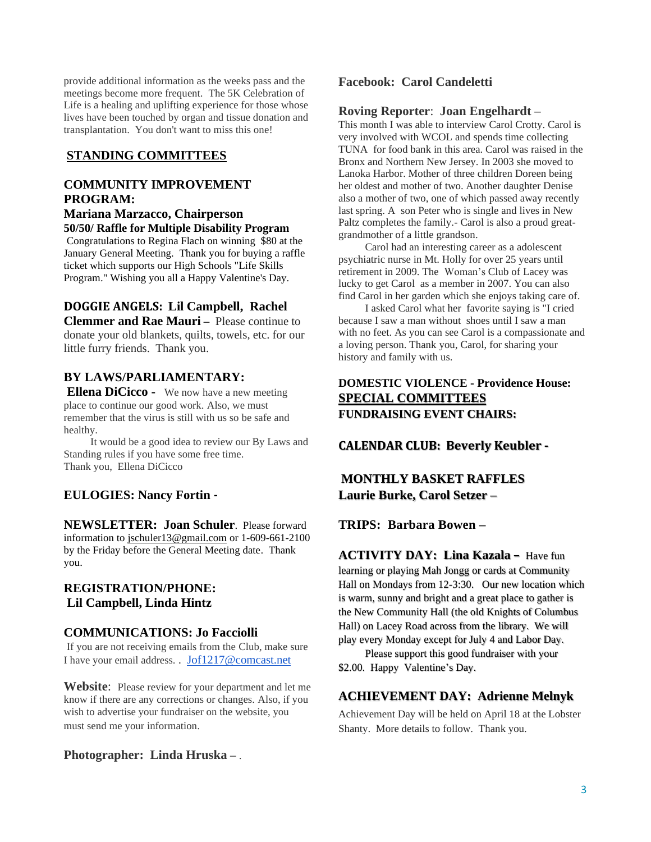provide additional information as the weeks pass and the meetings become more frequent. The 5K Celebration of Life is a healing and uplifting experience for those whose lives have been touched by organ and tissue donation and transplantation. You don't want to miss this one!

#### **STANDING COMMITTEES**

## **COMMUNITY IMPROVEMENT PROGRAM:**

#### **Mariana Marzacco, Chairperson 50/50/ Raffle for Multiple Disability Program**

Congratulations to Regina Flach on winning \$80 at the January General Meeting. Thank you for buying a raffle ticket which supports our High Schools "Life Skills Program." Wishing you all a Happy Valentine's Day.

#### **DOGGIE ANGELS: Lil Campbell, Rachel**

**Clemmer and Rae Mauri** – Please continue to donate your old blankets, quilts, towels, etc. for our little furry friends. Thank you.

## **BY LAWS/PARLIAMENTARY:**

**Ellena DiCicco -** We now have a new meeting place to continue our good work. Also, we must remember that the virus is still with us so be safe and healthy.

 It would be a good idea to review our By Laws and Standing rules if you have some free time. Thank you, Ellena DiCicco

## **EULOGIES: Nancy Fortin -**

**NEWSLETTER: Joan Schuler**. Please forward information to [jschuler13@gmail.com](mailto:jschuler13@gmail.com) or 1-609-661-2100 by the Friday before the General Meeting date. Thank you.

#### **REGISTRATION/PHONE: Lil Campbell, Linda Hintz**

#### **COMMUNICATIONS: Jo Facciolli**

If you are not receiving emails from the Club, make sure I have your email address. . [Jof1217@comcast.net](mailto:Jof1217@comcast.net)

**Website**: Please review for your department and let me know if there are any corrections or changes. Also, if you wish to advertise your fundraiser on the website, you must send me your information.

#### **Photographer: Linda Hruska –** .

#### **Facebook: Carol Candeletti**

#### **Roving Reporter**: **Joan Engelhardt –**

This month I was able to interview Carol Crotty. Carol is very involved with WCOL and spends time collecting TUNA for food bank in this area. Carol was raised in the Bronx and Northern New Jersey. In 2003 she moved to Lanoka Harbor. Mother of three children Doreen being her oldest and mother of two. Another daughter Denise also a mother of two, one of which passed away recently last spring. A son Peter who is single and lives in New Paltz completes the family.- Carol is also a proud greatgrandmother of a little grandson.

 Carol had an interesting career as a adolescent psychiatric nurse in Mt. Holly for over 25 years until retirement in 2009. The Woman's Club of Lacey was lucky to get Carol as a member in 2007. You can also find Carol in her garden which she enjoys taking care of.

 I asked Carol what her favorite saying is "I cried because I saw a man without shoes until I saw a man with no feet. As you can see Carol is a compassionate and a loving person. Thank you, Carol, for sharing your history and family with us.

## **DOMESTIC VIOLENCE - Providence House: SPECIAL COMMITTEES FUNDRAISING EVENT CHAIRS:**

**CALENDAR CLUB: Beverly Keubler -**

# **MONTHLY BASKET RAFFLES Laurie Burke, Carol Setzer –**

**TRIPS: Barbara Bowen –**

## **ACTIVITY DAY: Lina Kazala –** Have fun

learning or playing Mah Jongg or cards at Community Hall on Mondays from 12-3:30. Our new location which is warm, sunny and bright and a great place to gather is the New Community Hall (the old Knights of Columbus Hall) on Lacey Road across from the library. We will play every Monday except for July 4 and Labor Day.

 Please support this good fundraiser with your \$2.00. Happy Valentine's Day.

## **ACHIEVEMENT DAY: Adrienne Melnyk**

Achievement Day will be held on April 18 at the Lobster Shanty. More details to follow. Thank you.